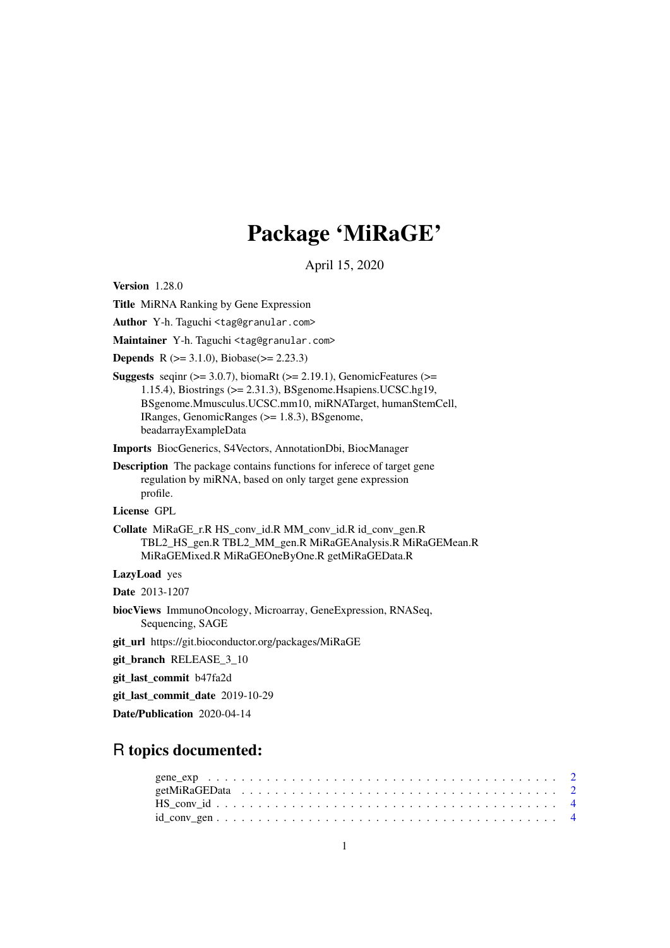## Package 'MiRaGE'

April 15, 2020

Version 1.28.0

Title MiRNA Ranking by Gene Expression

Author Y-h. Taguchi <tag@granular.com>

Maintainer Y-h. Taguchi <tag@granular.com>

**Depends** R ( $>= 3.1.0$ ), Biobase( $>= 2.23.3$ )

**Suggests** seqint  $(>= 3.0.7)$ , biomaRt  $(>= 2.19.1)$ , GenomicFeatures  $(>= 1.19.1)$ 1.15.4), Biostrings (>= 2.31.3), BSgenome.Hsapiens.UCSC.hg19, BSgenome.Mmusculus.UCSC.mm10, miRNATarget, humanStemCell, IRanges, GenomicRanges (>= 1.8.3), BSgenome, beadarrayExampleData

Imports BiocGenerics, S4Vectors, AnnotationDbi, BiocManager

Description The package contains functions for inferece of target gene regulation by miRNA, based on only target gene expression profile.

License GPL

Collate MiRaGE\_r.R HS\_conv\_id.R MM\_conv\_id.R id\_conv\_gen.R TBL2\_HS\_gen.R TBL2\_MM\_gen.R MiRaGEAnalysis.R MiRaGEMean.R MiRaGEMixed.R MiRaGEOneByOne.R getMiRaGEData.R

LazyLoad yes

Date 2013-1207

biocViews ImmunoOncology, Microarray, GeneExpression, RNASeq, Sequencing, SAGE

git\_url https://git.bioconductor.org/packages/MiRaGE

git\_branch RELEASE\_3\_10

git\_last\_commit b47fa2d

git\_last\_commit\_date 2019-10-29

Date/Publication 2020-04-14

### R topics documented:

| $id_{\text{conv\_gen}} \dots \dots \dots \dots \dots \dots \dots \dots \dots \dots \dots \dots \dots \dots \dots \dots$ |  |  |  |
|-------------------------------------------------------------------------------------------------------------------------|--|--|--|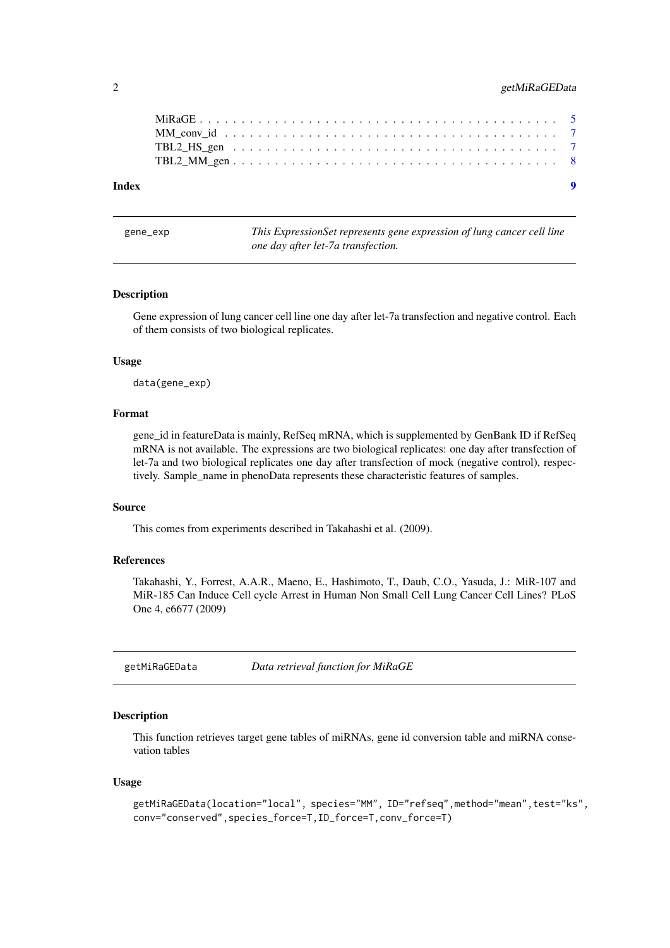#### <span id="page-1-0"></span>2 getMiRaGEData

| Index |  |  |  |  |  |  |  |  |  |  |  |  |  |  | $\bullet$ |
|-------|--|--|--|--|--|--|--|--|--|--|--|--|--|--|-----------|
|       |  |  |  |  |  |  |  |  |  |  |  |  |  |  |           |
|       |  |  |  |  |  |  |  |  |  |  |  |  |  |  |           |
|       |  |  |  |  |  |  |  |  |  |  |  |  |  |  |           |
|       |  |  |  |  |  |  |  |  |  |  |  |  |  |  |           |

gene\_exp *This ExpressionSet represents gene expression of lung cancer cell line one day after let-7a transfection.*

#### Description

Gene expression of lung cancer cell line one day after let-7a transfection and negative control. Each of them consists of two biological replicates.

#### Usage

data(gene\_exp)

#### Format

gene\_id in featureData is mainly, RefSeq mRNA, which is supplemented by GenBank ID if RefSeq mRNA is not available. The expressions are two biological replicates: one day after transfection of let-7a and two biological replicates one day after transfection of mock (negative control), respectively. Sample\_name in phenoData represents these characteristic features of samples.

#### Source

This comes from experiments described in Takahashi et al. (2009).

#### References

Takahashi, Y., Forrest, A.A.R., Maeno, E., Hashimoto, T., Daub, C.O., Yasuda, J.: MiR-107 and MiR-185 Can Induce Cell cycle Arrest in Human Non Small Cell Lung Cancer Cell Lines? PLoS One 4, e6677 (2009)

getMiRaGEData *Data retrieval function for MiRaGE*

#### Description

This function retrieves target gene tables of miRNAs, gene id conversion table and miRNA consevation tables

#### Usage

```
getMiRaGEData(location="local", species="MM", ID="refseq",method="mean",test="ks",
conv="conserved",species_force=T,ID_force=T,conv_force=T)
```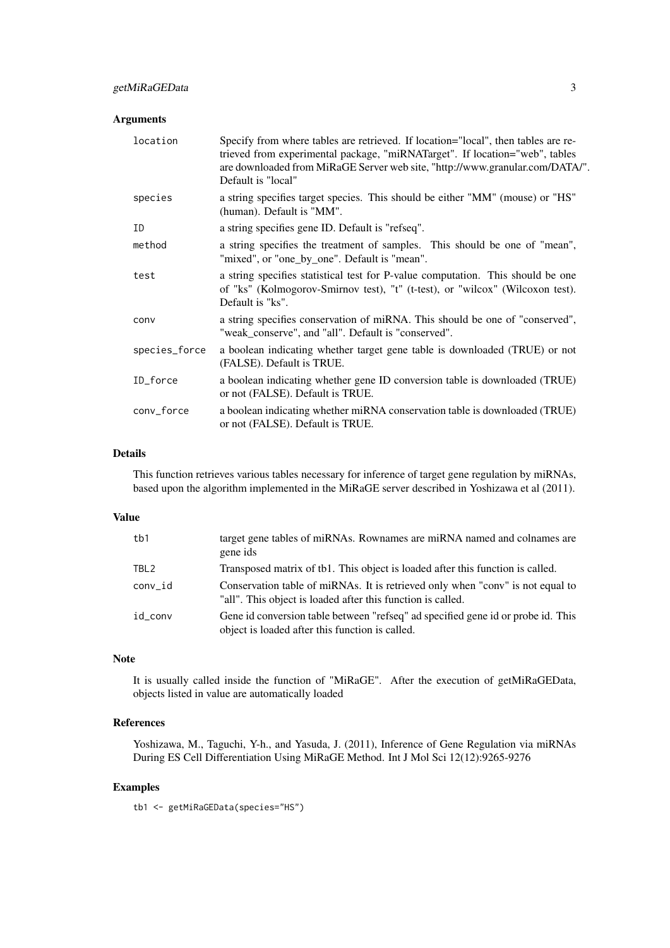#### Arguments

| location      | Specify from where tables are retrieved. If location="local", then tables are re-<br>trieved from experimental package, "miRNATarget". If location="web", tables<br>are downloaded from MiRaGE Server web site, "http://www.granular.com/DATA/".<br>Default is "local" |
|---------------|------------------------------------------------------------------------------------------------------------------------------------------------------------------------------------------------------------------------------------------------------------------------|
| species       | a string specifies target species. This should be either "MM" (mouse) or "HS"<br>(human). Default is "MM".                                                                                                                                                             |
| ID            | a string specifies gene ID. Default is "refseq".                                                                                                                                                                                                                       |
| method        | a string specifies the treatment of samples. This should be one of "mean",<br>"mixed", or "one_by_one". Default is "mean".                                                                                                                                             |
| test          | a string specifies statistical test for P-value computation. This should be one<br>of "ks" (Kolmogorov-Smirnov test), "t" (t-test), or "wilcox" (Wilcoxon test).<br>Default is "ks".                                                                                   |
| conv          | a string specifies conservation of miRNA. This should be one of "conserved",<br>"weak_conserve", and "all". Default is "conserved".                                                                                                                                    |
| species_force | a boolean indicating whether target gene table is downloaded (TRUE) or not<br>(FALSE). Default is TRUE.                                                                                                                                                                |
| ID_force      | a boolean indicating whether gene ID conversion table is downloaded (TRUE)<br>or not (FALSE). Default is TRUE.                                                                                                                                                         |
| conv_force    | a boolean indicating whether miRNA conservation table is downloaded (TRUE)<br>or not (FALSE). Default is TRUE.                                                                                                                                                         |

#### Details

This function retrieves various tables necessary for inference of target gene regulation by miRNAs, based upon the algorithm implemented in the MiRaGE server described in Yoshizawa et al (2011).

#### Value

| tb1              | target gene tables of miRNAs. Rownames are miRNA named and colnames are<br>gene ids                                                           |
|------------------|-----------------------------------------------------------------------------------------------------------------------------------------------|
| TBL <sub>2</sub> | Transposed matrix of tb1. This object is loaded after this function is called.                                                                |
| conv id          | Conservation table of miRNAs. It is retrieved only when "conv" is not equal to<br>"all". This object is loaded after this function is called. |
| id conv          | Gene id conversion table between "refseq" ad specified gene id or probe id. This<br>object is loaded after this function is called.           |

#### Note

It is usually called inside the function of "MiRaGE". After the execution of getMiRaGEData, objects listed in value are automatically loaded

#### References

Yoshizawa, M., Taguchi, Y-h., and Yasuda, J. (2011), Inference of Gene Regulation via miRNAs During ES Cell Differentiation Using MiRaGE Method. Int J Mol Sci 12(12):9265-9276

#### Examples

tb1 <- getMiRaGEData(species="HS")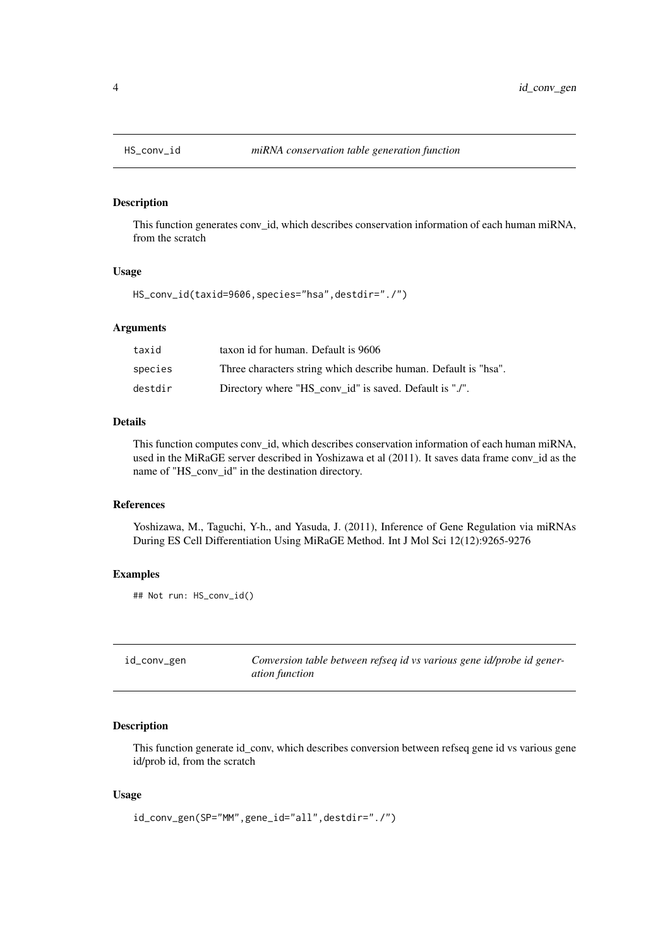<span id="page-3-0"></span>

#### Description

This function generates conv\_id, which describes conservation information of each human miRNA, from the scratch

#### Usage

HS\_conv\_id(taxid=9606,species="hsa",destdir="./")

#### Arguments

| taxid   | taxon id for human. Default is 9606                             |
|---------|-----------------------------------------------------------------|
| species | Three characters string which describe human. Default is "hsa". |
| destdir | Directory where "HS_conv_id" is saved. Default is "./".         |

#### Details

This function computes conv\_id, which describes conservation information of each human miRNA, used in the MiRaGE server described in Yoshizawa et al (2011). It saves data frame conv\_id as the name of "HS\_conv\_id" in the destination directory.

#### References

Yoshizawa, M., Taguchi, Y-h., and Yasuda, J. (2011), Inference of Gene Regulation via miRNAs During ES Cell Differentiation Using MiRaGE Method. Int J Mol Sci 12(12):9265-9276

#### Examples

```
## Not run: HS_conv_id()
```

| id_conv_gen | Conversion table between refseq id vs various gene id/probe id gener- |
|-------------|-----------------------------------------------------------------------|
|             | <i>ation function</i>                                                 |

#### Description

This function generate id\_conv, which describes conversion between refseq gene id vs various gene id/prob id, from the scratch

#### Usage

```
id_conv_gen(SP="MM",gene_id="all",destdir="./")
```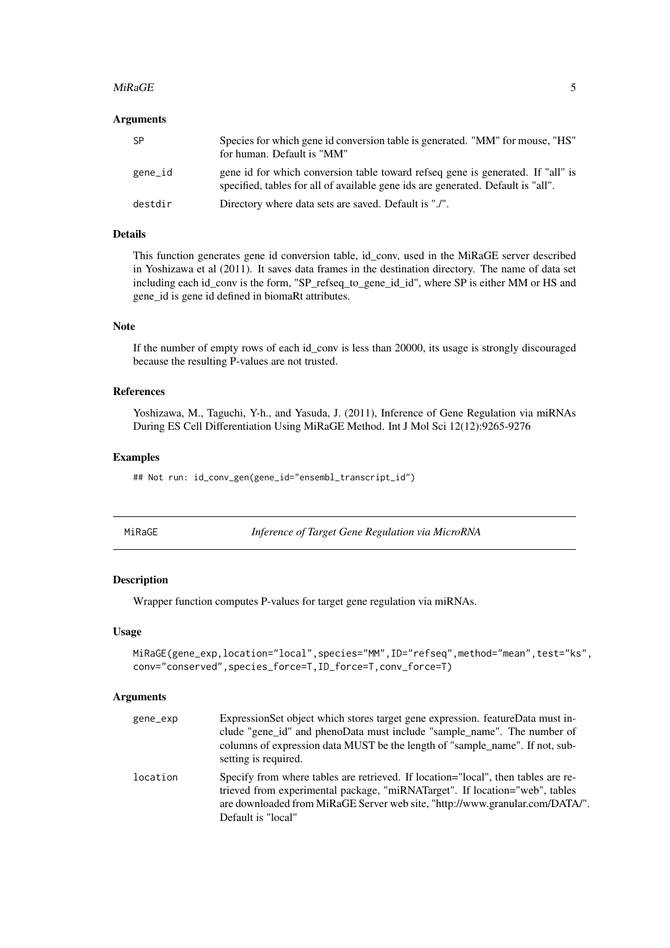#### <span id="page-4-0"></span>MiRaGE 5

#### Arguments

| -SP     | Species for which gene id conversion table is generated. "MM" for mouse, "HS"<br>for human. Default is "MM"                                                         |
|---------|---------------------------------------------------------------------------------------------------------------------------------------------------------------------|
| gene_id | gene id for which conversion table toward refseq gene is generated. If "all" is<br>specified, tables for all of available gene ids are generated. Default is "all". |
| destdir | Directory where data sets are saved. Default is "./".                                                                                                               |

#### Details

This function generates gene id conversion table, id\_conv, used in the MiRaGE server described in Yoshizawa et al (2011). It saves data frames in the destination directory. The name of data set including each id\_conv is the form, "SP\_refseq\_to\_gene\_id\_id", where SP is either MM or HS and gene\_id is gene id defined in biomaRt attributes.

#### Note

If the number of empty rows of each id conv is less than 20000, its usage is strongly discouraged because the resulting P-values are not trusted.

#### References

Yoshizawa, M., Taguchi, Y-h., and Yasuda, J. (2011), Inference of Gene Regulation via miRNAs During ES Cell Differentiation Using MiRaGE Method. Int J Mol Sci 12(12):9265-9276

#### Examples

## Not run: id\_conv\_gen(gene\_id="ensembl\_transcript\_id")

| MiRaGE |  |  |
|--------|--|--|
|        |  |  |

**Inference of Target Gene Regulation via MicroRNA** 

#### Description

Wrapper function computes P-values for target gene regulation via miRNAs.

#### Usage

```
MiRaGE(gene_exp,location="local",species="MM",ID="refseq",method="mean",test="ks",
conv="conserved",species_force=T,ID_force=T,conv_force=T)
```
#### Arguments

| gene_exp | ExpressionSet object which stores target gene expression. featureData must in-<br>clude "gene_id" and phenoData must include "sample_name". The number of<br>columns of expression data MUST be the length of "sample_name". If not, sub-<br>setting is required.      |
|----------|------------------------------------------------------------------------------------------------------------------------------------------------------------------------------------------------------------------------------------------------------------------------|
| location | Specify from where tables are retrieved. If location="local", then tables are re-<br>trieved from experimental package, "miRNATarget". If location="web", tables<br>are downloaded from MiRaGE Server web site, "http://www.granular.com/DATA/".<br>Default is "local" |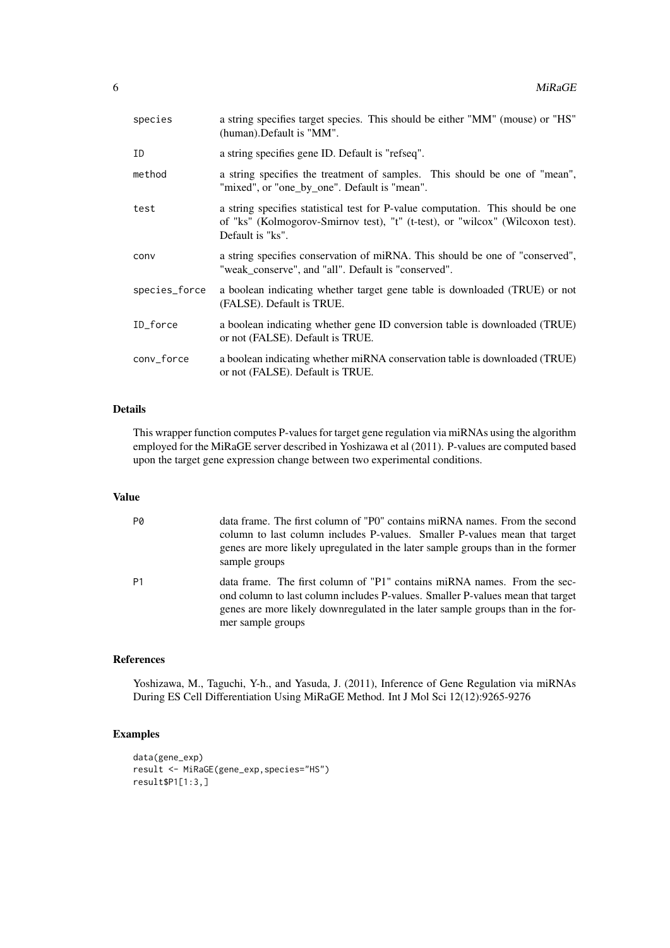| species       | a string specifies target species. This should be either "MM" (mouse) or "HS"<br>(human). Default is "MM".                                                                           |
|---------------|--------------------------------------------------------------------------------------------------------------------------------------------------------------------------------------|
| ID            | a string specifies gene ID. Default is "refseq".                                                                                                                                     |
| method        | a string specifies the treatment of samples. This should be one of "mean",<br>"mixed", or "one_by_one". Default is "mean".                                                           |
| test          | a string specifies statistical test for P-value computation. This should be one<br>of "ks" (Kolmogorov-Smirnov test), "t" (t-test), or "wilcox" (Wilcoxon test).<br>Default is "ks". |
| conv          | a string specifies conservation of miRNA. This should be one of "conserved",<br>"weak_conserve", and "all". Default is "conserved".                                                  |
| species_force | a boolean indicating whether target gene table is downloaded (TRUE) or not<br>(FALSE). Default is TRUE.                                                                              |
| ID_force      | a boolean indicating whether gene ID conversion table is downloaded (TRUE)<br>or not (FALSE). Default is TRUE.                                                                       |
| conv_force    | a boolean indicating whether miRNA conservation table is downloaded (TRUE)<br>or not (FALSE). Default is TRUE.                                                                       |

#### Details

This wrapper function computes P-values for target gene regulation via miRNAs using the algorithm employed for the MiRaGE server described in Yoshizawa et al (2011). P-values are computed based upon the target gene expression change between two experimental conditions.

#### Value

| P0             | data frame. The first column of "P0" contains miRNA names. From the second<br>column to last column includes P-values. Smaller P-values mean that target<br>genes are more likely upregulated in the later sample groups than in the former<br>sample groups       |
|----------------|--------------------------------------------------------------------------------------------------------------------------------------------------------------------------------------------------------------------------------------------------------------------|
| P <sub>1</sub> | data frame. The first column of "P1" contains miRNA names. From the sec-<br>ond column to last column includes P-values. Smaller P-values mean that target<br>genes are more likely downregulated in the later sample groups than in the for-<br>mer sample groups |

#### References

Yoshizawa, M., Taguchi, Y-h., and Yasuda, J. (2011), Inference of Gene Regulation via miRNAs During ES Cell Differentiation Using MiRaGE Method. Int J Mol Sci 12(12):9265-9276

#### Examples

```
data(gene_exp)
result <- MiRaGE(gene_exp,species="HS")
result$P1[1:3,]
```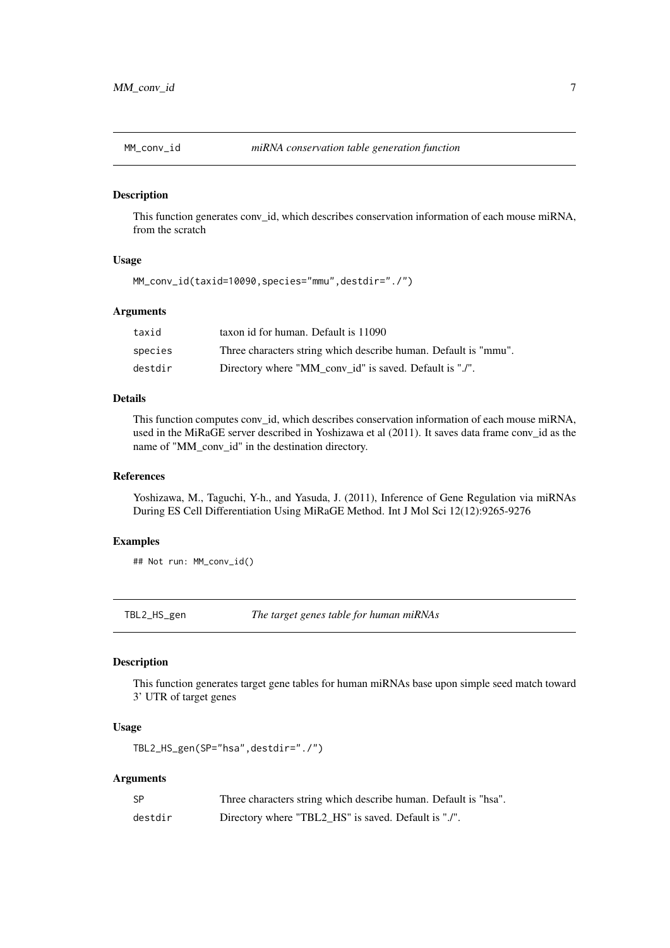<span id="page-6-0"></span>

#### Description

This function generates conv\_id, which describes conservation information of each mouse miRNA, from the scratch

#### Usage

MM\_conv\_id(taxid=10090,species="mmu",destdir="./")

#### Arguments

| taxid   | taxon id for human. Default is 11090                            |
|---------|-----------------------------------------------------------------|
| species | Three characters string which describe human. Default is "mmu". |
| destdir | Directory where "MM_conv_id" is saved. Default is "./".         |

#### Details

This function computes conv id, which describes conservation information of each mouse miRNA, used in the MiRaGE server described in Yoshizawa et al (2011). It saves data frame conv\_id as the name of "MM\_conv\_id" in the destination directory.

#### References

Yoshizawa, M., Taguchi, Y-h., and Yasuda, J. (2011), Inference of Gene Regulation via miRNAs During ES Cell Differentiation Using MiRaGE Method. Int J Mol Sci 12(12):9265-9276

#### Examples

## Not run: MM\_conv\_id()

TBL2\_HS\_gen *The target genes table for human miRNAs*

#### Description

This function generates target gene tables for human miRNAs base upon simple seed match toward 3' UTR of target genes

#### Usage

```
TBL2_HS_gen(SP="hsa",destdir="./")
```
#### Arguments

| <b>SP</b> | Three characters string which describe human. Default is "hsa". |
|-----------|-----------------------------------------------------------------|
| destdir   | Directory where "TBL2_HS" is saved. Default is "./".            |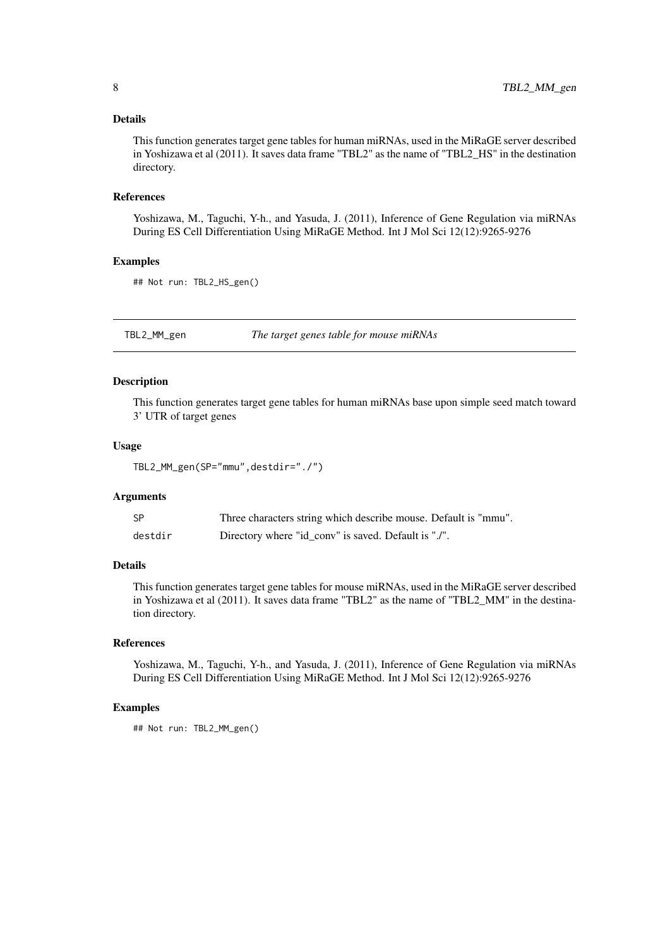#### <span id="page-7-0"></span>Details

This function generates target gene tables for human miRNAs, used in the MiRaGE server described in Yoshizawa et al (2011). It saves data frame "TBL2" as the name of "TBL2\_HS" in the destination directory.

#### References

Yoshizawa, M., Taguchi, Y-h., and Yasuda, J. (2011), Inference of Gene Regulation via miRNAs During ES Cell Differentiation Using MiRaGE Method. Int J Mol Sci 12(12):9265-9276

#### Examples

```
## Not run: TBL2_HS_gen()
```
TBL2\_MM\_gen *The target genes table for mouse miRNAs*

#### Description

This function generates target gene tables for human miRNAs base upon simple seed match toward 3' UTR of target genes

#### Usage

TBL2\_MM\_gen(SP="mmu",destdir="./")

#### Arguments

| -SP     | Three characters string which describe mouse. Default is "mmu". |
|---------|-----------------------------------------------------------------|
| destdir | Directory where "id_conv" is saved. Default is "./".            |

#### Details

This function generates target gene tables for mouse miRNAs, used in the MiRaGE server described in Yoshizawa et al (2011). It saves data frame "TBL2" as the name of "TBL2\_MM" in the destination directory.

#### References

Yoshizawa, M., Taguchi, Y-h., and Yasuda, J. (2011), Inference of Gene Regulation via miRNAs During ES Cell Differentiation Using MiRaGE Method. Int J Mol Sci 12(12):9265-9276

#### Examples

```
## Not run: TBL2_MM_gen()
```